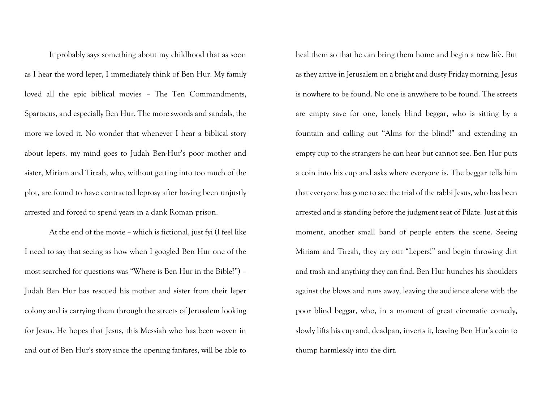It probably says something about my childhood that as soon as I hear the word leper, I immediately think of Ben Hur. My family loved all the epic biblical movies – The Ten Commandments, Spartacus, and especially Ben Hur. The more swords and sandals, the more we loved it. No wonder that whenever I hear a biblical story about lepers, my mind goes to Judah Ben-Hur's poor mother and sister, Miriam and Tirzah, who, without getting into too much of the plot, are found to have contracted leprosy after having been unjustly arrested and forced to spend years in a dank Roman prison.

At the end of the movie – which is fictional, just fyi (I feel like I need to say that seeing as how when I googled Ben Hur one of the most searched for questions was "Where is Ben Hur in the Bible?") – Judah Ben Hur has rescued his mother and sister from their leper colony and is carrying them through the streets of Jerusalem looking for Jesus. He hopes that Jesus, this Messiah who has been woven in and out of Ben Hur's story since the opening fanfares, will be able to

heal them so that he can bring them home and begin a new life. But as they arrive in Jerusalem on a bright and dusty Friday morning, Jesus is nowhere to be found. No one is anywhere to be found. The streets are empty save for one, lonely blind beggar, who is sitting by a fountain and calling out "Alms for the blind!" and extending an empty cup to the strangers he can hear but cannot see. Ben Hur puts a coin into his cup and asks where everyone is. The beggar tells him that everyone has gone to see the trial of the rabbi Jesus, who has been arrested and is standing before the judgment seat of Pilate. Just at this moment, another small band of people enters the scene. Seeing Miriam and Tirzah, they cry out "Lepers!" and begin throwing dirt and trash and anything they can find. Ben Hur hunches his shoulders against the blows and runs away, leaving the audience alone with the poor blind beggar, who, in a moment of great cinematic comedy, slowly lifts his cup and, deadpan, inverts it, leaving Ben Hur's coin to thump harmlessly into the dirt.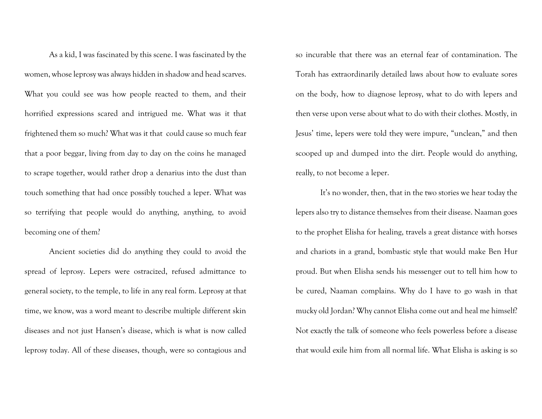As a kid, I was fascinated by this scene. I was fascinated by the women, whose leprosy was always hidden in shadow and head scarves. What you could see was how people reacted to them, and their horrified expressions scared and intrigued me. What was it that frightened them so much? What was it that could cause so much fear that a poor beggar, living from day to day on the coins he managed to scrape together, would rather drop a denarius into the dust than touch something that had once possibly touched a leper. What was so terrifying that people would do anything, anything, to avoid becoming one of them?

Ancient societies did do anything they could to avoid the spread of leprosy. Lepers were ostracized, refused admittance to general society, to the temple, to life in any real form. Leprosy at that time, we know, was a word meant to describe multiple different skin diseases and not just Hansen's disease, which is what is now called leprosy today. All of these diseases, though, were so contagious and

so incurable that there was an eternal fear of contamination. The Torah has extraordinarily detailed laws about how to evaluate sores on the body, how to diagnose leprosy, what to do with lepers and then verse upon verse about what to do with their clothes. Mostly, in Jesus' time, lepers were told they were impure, "unclean," and then scooped up and dumped into the dirt. People would do anything, really, to not become a leper.

It's no wonder, then, that in the two stories we hear today the lepers also try to distance themselves from their disease. Naaman goes to the prophet Elisha for healing, travels a great distance with horses and chariots in a grand, bombastic style that would make Ben Hur proud. But when Elisha sends his messenger out to tell him how to be cured, Naaman complains. Why do I have to go wash in that mucky old Jordan? Why cannot Elisha come out and heal me himself? Not exactly the talk of someone who feels powerless before a disease that would exile him from all normal life. What Elisha is asking is so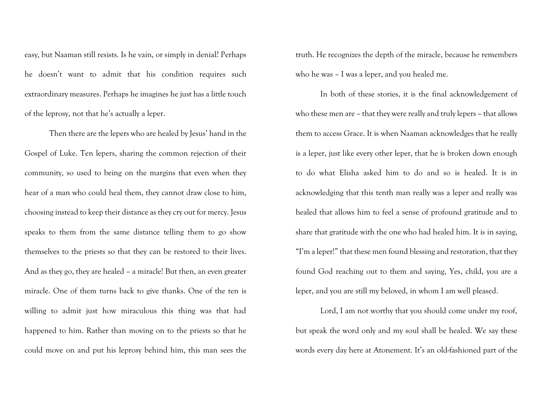easy, but Naaman still resists. Is he vain, or simply in denial? Perhaps he doesn't want to admit that his condition requires such extraordinary measures. Perhaps he imagines he just has a little touch of the leprosy, not that he's actually a leper.

Then there are the lepers who are healed by Jesus' hand in the Gospel of Luke. Ten lepers, sharing the common rejection of their community, so used to being on the margins that even when they hear of a man who could heal them, they cannot draw close to him, choosing instead to keep their distance as they cry out for mercy. Jesus speaks to them from the same distance telling them to go show themselves to the priests so that they can be restored to their lives. And as they go, they are healed – a miracle! But then, an even greater miracle. One of them turns back to give thanks. One of the ten is willing to admit just how miraculous this thing was that had happened to him. Rather than moving on to the priests so that he could move on and put his leprosy behind him, this man sees the

truth. He recognizes the depth of the miracle, because he remembers who he was – I was a leper, and you healed me.

In both of these stories, it is the final acknowledgement of who these men are – that they were really and truly lepers – that allows them to access Grace. It is when Naaman acknowledges that he really is a leper, just like every other leper, that he is broken down enough to do what Elisha asked him to do and so is healed. It is in acknowledging that this tenth man really was a leper and really was healed that allows him to feel a sense of profound gratitude and to share that gratitude with the one who had healed him. It is in saying, "I'm a leper!" that these men found blessing and restoration, that they found God reaching out to them and saying, Yes, child, you are a leper, and you are still my beloved, in whom I am well pleased.

Lord, I am not worthy that you should come under my roof, but speak the word only and my soul shall be healed. We say these words every day here at Atonement. It's an old-fashioned part of the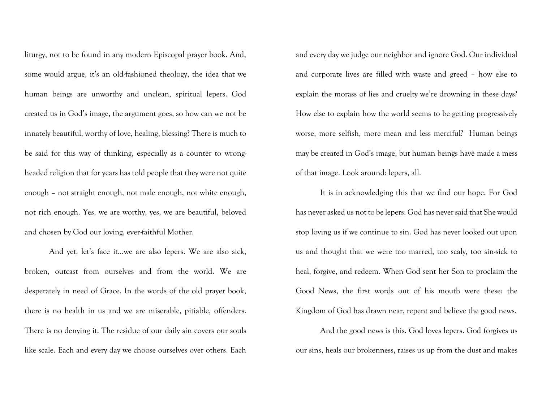liturgy, not to be found in any modern Episcopal prayer book. And, some would argue, it's an old-fashioned theology, the idea that we human beings are unworthy and unclean, spiritual lepers. God created us in God's image, the argument goes, so how can we not be innately beautiful, worthy of love, healing, blessing? There is much to be said for this way of thinking, especially as a counter to wrongheaded religion that for years has told people that they were not quite enough – not straight enough, not male enough, not white enough, not rich enough. Yes, we are worthy, yes, we are beautiful, beloved and chosen by God our loving, ever-faithful Mother.

And yet, let's face it…we are also lepers. We are also sick, broken, outcast from ourselves and from the world. We are desperately in need of Grace. In the words of the old prayer book, there is no health in us and we are miserable, pitiable, offenders. There is no denying it. The residue of our daily sin covers our souls like scale. Each and every day we choose ourselves over others. Each

and every day we judge our neighbor and ignore God. Our individual and corporate lives are filled with waste and greed – how else to explain the morass of lies and cruelty we're drowning in these days? How else to explain how the world seems to be getting progressively worse, more selfish, more mean and less merciful? Human beings may be created in God's image, but human beings have made a mess of that image. Look around: lepers, all.

It is in acknowledging this that we find our hope. For God has never asked us not to be lepers. God has never said that She would stop loving us if we continue to sin. God has never looked out upon us and thought that we were too marred, too scaly, too sin-sick to heal, forgive, and redeem. When God sent her Son to proclaim the Good News, the first words out of his mouth were these: the Kingdom of God has drawn near, repent and believe the good news.

And the good news is this. God loves lepers. God forgives us our sins, heals our brokenness, raises us up from the dust and makes